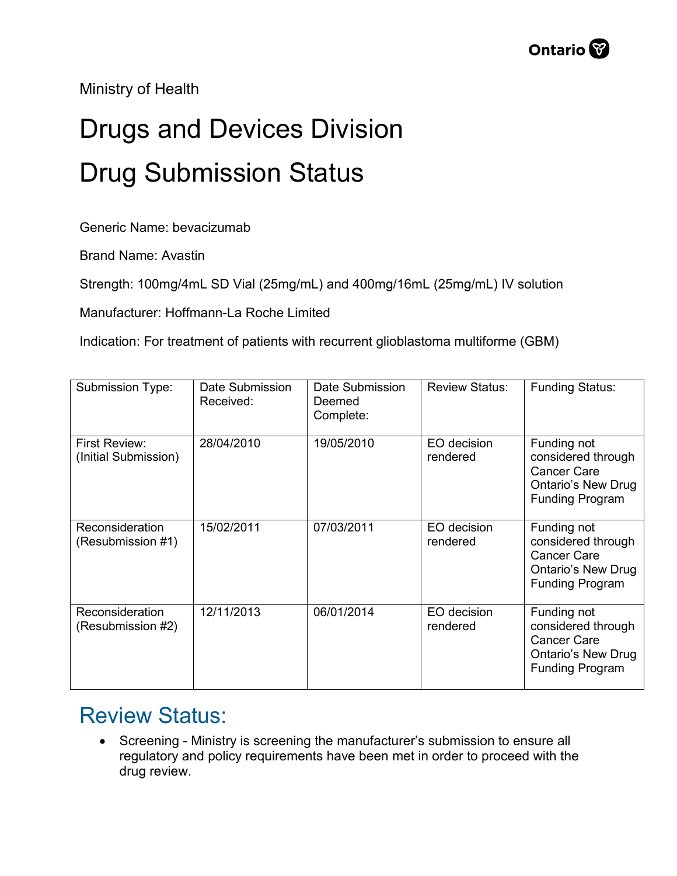Ministry of Health

## Drugs and Devices Division Drug Submission Status

Generic Name: bevacizumab

Brand Name: Avastin

Strength: 100mg/4mL SD Vial (25mg/mL) and 400mg/16mL (25mg/mL) IV solution

Manufacturer: Hoffmann-La Roche Limited

Indication: For treatment of patients with recurrent glioblastoma multiforme (GBM)

| Submission Type:                      | Date Submission<br>Received: | Date Submission<br>Deemed<br>Complete: | <b>Review Status:</b>   | <b>Funding Status:</b>                                                                                         |
|---------------------------------------|------------------------------|----------------------------------------|-------------------------|----------------------------------------------------------------------------------------------------------------|
| First Review:<br>(Initial Submission) | 28/04/2010                   | 19/05/2010                             | EO decision<br>rendered | Funding not<br>considered through<br><b>Cancer Care</b><br><b>Ontario's New Drug</b><br><b>Funding Program</b> |
| Reconsideration<br>(Resubmission #1)  | 15/02/2011                   | 07/03/2011                             | EO decision<br>rendered | Funding not<br>considered through<br><b>Cancer Care</b><br><b>Ontario's New Drug</b><br><b>Funding Program</b> |
| Reconsideration<br>(Resubmission #2)  | 12/11/2013                   | 06/01/2014                             | EO decision<br>rendered | Funding not<br>considered through<br><b>Cancer Care</b><br><b>Ontario's New Drug</b><br><b>Funding Program</b> |

## Review Status:

• Screening - Ministry is screening the manufacturer's submission to ensure all regulatory and policy requirements have been met in order to proceed with the drug review.